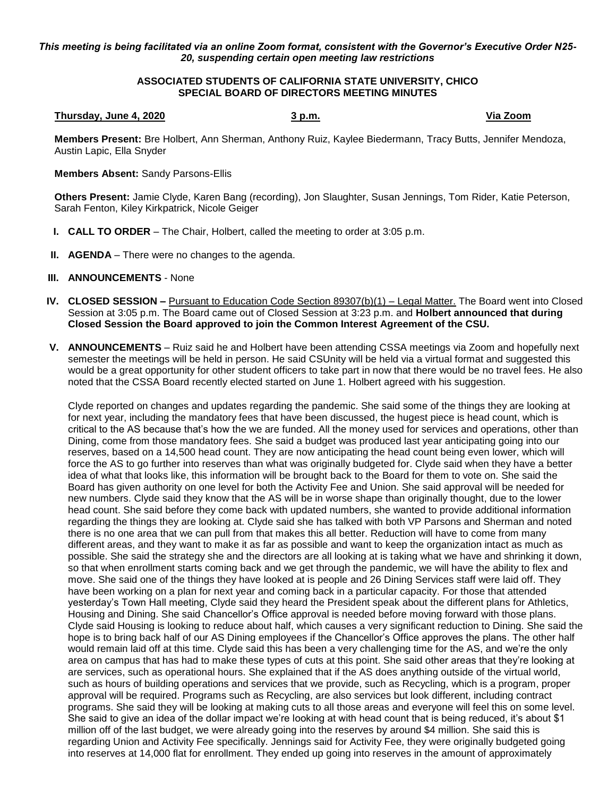## *This meeting is being facilitated via an online Zoom format, consistent with the Governor's Executive Order N25- 20, suspending certain open meeting law restrictions*

## **ASSOCIATED STUDENTS OF CALIFORNIA STATE UNIVERSITY, CHICO SPECIAL BOARD OF DIRECTORS MEETING MINUTES**

## **Thursday, June 4, 2020 3 p.m. Via Zoom**

**Members Present:** Bre Holbert, Ann Sherman, Anthony Ruiz, Kaylee Biedermann, Tracy Butts, Jennifer Mendoza, Austin Lapic, Ella Snyder

## **Members Absent:** Sandy Parsons-Ellis

**Others Present:** Jamie Clyde, Karen Bang (recording), Jon Slaughter, Susan Jennings, Tom Rider, Katie Peterson, Sarah Fenton, Kiley Kirkpatrick, Nicole Geiger

- **I. CALL TO ORDER** The Chair, Holbert, called the meeting to order at 3:05 p.m.
- **II. AGENDA** There were no changes to the agenda.
- **III. ANNOUNCEMENTS** None
- **IV. CLOSED SESSION –** Pursuant to Education Code Section 89307(b)(1) Legal Matter. The Board went into Closed Session at 3:05 p.m. The Board came out of Closed Session at 3:23 p.m. and **Holbert announced that during Closed Session the Board approved to join the Common Interest Agreement of the CSU.**
- **V. ANNOUNCEMENTS** Ruiz said he and Holbert have been attending CSSA meetings via Zoom and hopefully next semester the meetings will be held in person. He said CSUnity will be held via a virtual format and suggested this would be a great opportunity for other student officers to take part in now that there would be no travel fees. He also noted that the CSSA Board recently elected started on June 1. Holbert agreed with his suggestion.

Clyde reported on changes and updates regarding the pandemic. She said some of the things they are looking at for next year, including the mandatory fees that have been discussed, the hugest piece is head count, which is critical to the AS because that's how the we are funded. All the money used for services and operations, other than Dining, come from those mandatory fees. She said a budget was produced last year anticipating going into our reserves, based on a 14,500 head count. They are now anticipating the head count being even lower, which will force the AS to go further into reserves than what was originally budgeted for. Clyde said when they have a better idea of what that looks like, this information will be brought back to the Board for them to vote on. She said the Board has given authority on one level for both the Activity Fee and Union. She said approval will be needed for new numbers. Clyde said they know that the AS will be in worse shape than originally thought, due to the lower head count. She said before they come back with updated numbers, she wanted to provide additional information regarding the things they are looking at. Clyde said she has talked with both VP Parsons and Sherman and noted there is no one area that we can pull from that makes this all better. Reduction will have to come from many different areas, and they want to make it as far as possible and want to keep the organization intact as much as possible. She said the strategy she and the directors are all looking at is taking what we have and shrinking it down, so that when enrollment starts coming back and we get through the pandemic, we will have the ability to flex and move. She said one of the things they have looked at is people and 26 Dining Services staff were laid off. They have been working on a plan for next year and coming back in a particular capacity. For those that attended yesterday's Town Hall meeting, Clyde said they heard the President speak about the different plans for Athletics, Housing and Dining. She said Chancellor's Office approval is needed before moving forward with those plans. Clyde said Housing is looking to reduce about half, which causes a very significant reduction to Dining. She said the hope is to bring back half of our AS Dining employees if the Chancellor's Office approves the plans. The other half would remain laid off at this time. Clyde said this has been a very challenging time for the AS, and we're the only area on campus that has had to make these types of cuts at this point. She said other areas that they're looking at are services, such as operational hours. She explained that if the AS does anything outside of the virtual world, such as hours of building operations and services that we provide, such as Recycling, which is a program, proper approval will be required. Programs such as Recycling, are also services but look different, including contract programs. She said they will be looking at making cuts to all those areas and everyone will feel this on some level. She said to give an idea of the dollar impact we're looking at with head count that is being reduced, it's about \$1 million off of the last budget, we were already going into the reserves by around \$4 million. She said this is regarding Union and Activity Fee specifically. Jennings said for Activity Fee, they were originally budgeted going into reserves at 14,000 flat for enrollment. They ended up going into reserves in the amount of approximately